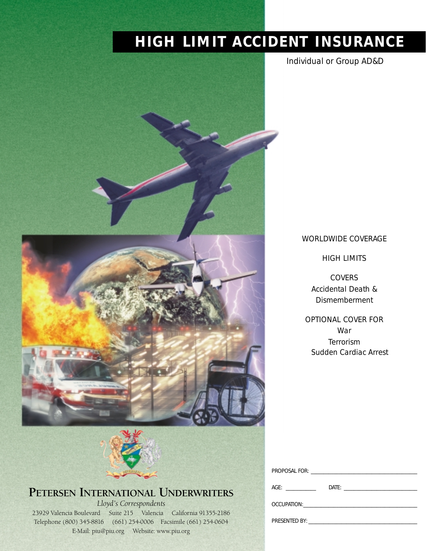# **HIGH LIMIT ACCIDENT INSURANCE**







# **PETERSEN INTERNATIONAL UNDERWRITERS**

*Lloyd's Correspondents* 23929 Valencia Boulevard Suite 215 Valencia California 91355-2186 Telephone (800) 345-8816 (661) 254-0006 Facsimile (661) 254-0604 E-Mail: piu@piu.org Website: www.piu.org

| <i><b>WORLDWIDE COVERAGE</b></i> |
|----------------------------------|
|                                  |

*HIGH LIMITS*

*COVERS Accidental Death & Dismemberment*

*OPTIONAL COVER FOR War Terrorism Sudden Cardiac Arrest*

| AGE: _________ | Date:                                                                                                                                                                                                                          |
|----------------|--------------------------------------------------------------------------------------------------------------------------------------------------------------------------------------------------------------------------------|
|                | OCCUPATION: A CONTROLLER CONTROLLER TO A CONTROLLER CONTROLLER TO A CONTROLLER CONTROLLER CONTROLLER TO A CONTROLLER CONTROLLER CONTROLLER CONTROLLER CONTROLLER CONTROLLER CONTROLLER CONTROLLER CONTROLLER CONTROLLER CONTRO |
|                | PRESENTED BY:                                                                                                                                                                                                                  |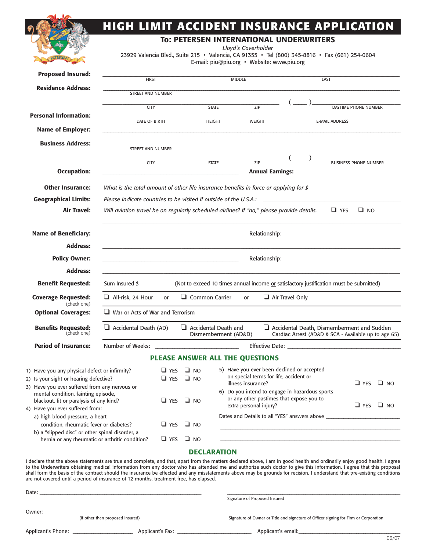|                                                                                                                                                                                                                                                                                                                                                                                                                                                                                                                                                                                                                         | HIGH LIMIT ACCIDENT INSURANCE APPLICATION                                                                                                                                          |            |                                                |                    |                               |                                                                                      |                                                                                                                                                                                                                                                                                                                                                                                                                                       |                      |                      |
|-------------------------------------------------------------------------------------------------------------------------------------------------------------------------------------------------------------------------------------------------------------------------------------------------------------------------------------------------------------------------------------------------------------------------------------------------------------------------------------------------------------------------------------------------------------------------------------------------------------------------|------------------------------------------------------------------------------------------------------------------------------------------------------------------------------------|------------|------------------------------------------------|--------------------|-------------------------------|--------------------------------------------------------------------------------------|---------------------------------------------------------------------------------------------------------------------------------------------------------------------------------------------------------------------------------------------------------------------------------------------------------------------------------------------------------------------------------------------------------------------------------------|----------------------|----------------------|
|                                                                                                                                                                                                                                                                                                                                                                                                                                                                                                                                                                                                                         |                                                                                                                                                                                    |            | <b>TO: PETERSEN INTERNATIONAL UNDERWRITERS</b> |                    |                               |                                                                                      |                                                                                                                                                                                                                                                                                                                                                                                                                                       |                      |                      |
|                                                                                                                                                                                                                                                                                                                                                                                                                                                                                                                                                                                                                         | 23929 Valencia Blvd., Suite 215 · Valencia, CA 91355 · Tel (800) 345-8816 · Fax (661) 254-0604                                                                                     |            |                                                |                    | Lloyd's Coverholder           |                                                                                      |                                                                                                                                                                                                                                                                                                                                                                                                                                       |                      |                      |
|                                                                                                                                                                                                                                                                                                                                                                                                                                                                                                                                                                                                                         |                                                                                                                                                                                    |            |                                                |                    |                               | E-mail: piu@piu.org · Website: www.piu.org                                           |                                                                                                                                                                                                                                                                                                                                                                                                                                       |                      |                      |
| <b>Proposed Insured:</b>                                                                                                                                                                                                                                                                                                                                                                                                                                                                                                                                                                                                | <b>FIRST</b>                                                                                                                                                                       |            |                                                | <b>MIDDLE</b>      |                               |                                                                                      | LAST                                                                                                                                                                                                                                                                                                                                                                                                                                  |                      |                      |
| <b>Residence Address:</b>                                                                                                                                                                                                                                                                                                                                                                                                                                                                                                                                                                                               | <b>STREET AND NUMBER</b>                                                                                                                                                           |            |                                                |                    |                               |                                                                                      |                                                                                                                                                                                                                                                                                                                                                                                                                                       |                      |                      |
|                                                                                                                                                                                                                                                                                                                                                                                                                                                                                                                                                                                                                         | <b>CITY</b>                                                                                                                                                                        |            |                                                | <b>STATE</b>       | $\overline{ZIP}$              |                                                                                      |                                                                                                                                                                                                                                                                                                                                                                                                                                       | DAYTIME PHONE NUMBER |                      |
| <b>Personal Information:</b>                                                                                                                                                                                                                                                                                                                                                                                                                                                                                                                                                                                            | DATE OF BIRTH                                                                                                                                                                      |            |                                                | <b>HEIGHT</b>      | <b>WEIGHT</b>                 |                                                                                      | <b>E-MAIL ADDRESS</b>                                                                                                                                                                                                                                                                                                                                                                                                                 |                      |                      |
| <b>Name of Employer:</b>                                                                                                                                                                                                                                                                                                                                                                                                                                                                                                                                                                                                |                                                                                                                                                                                    |            |                                                |                    |                               |                                                                                      |                                                                                                                                                                                                                                                                                                                                                                                                                                       |                      |                      |
| <b>Business Address:</b>                                                                                                                                                                                                                                                                                                                                                                                                                                                                                                                                                                                                | <b>STREET AND NUMBER</b>                                                                                                                                                           |            |                                                |                    |                               |                                                                                      |                                                                                                                                                                                                                                                                                                                                                                                                                                       |                      |                      |
|                                                                                                                                                                                                                                                                                                                                                                                                                                                                                                                                                                                                                         | <b>CITY</b>                                                                                                                                                                        |            |                                                | <b>STATE</b>       |                               | $\frac{1}{\sqrt{2}}$                                                                 | $\left(\frac{1}{\sqrt{1-\frac{1}{\sqrt{1-\frac{1}{\sqrt{1-\frac{1}{\sqrt{1-\frac{1}{\sqrt{1-\frac{1}{\sqrt{1-\frac{1}{\sqrt{1-\frac{1}{\sqrt{1-\frac{1}{\sqrt{1-\frac{1}{\sqrt{1-\frac{1}{\sqrt{1-\frac{1}{\sqrt{1-\frac{1}{\sqrt{1-\frac{1}{\sqrt{1-\frac{1}{\sqrt{1-\frac{1}{\sqrt{1-\frac{1}{\sqrt{1-\frac{1}{\sqrt{1-\frac{1}{\sqrt{1-\frac{1}{\sqrt{1-\frac{1}{\sqrt{1-\frac{1}{\sqrt{1-\frac{1}{\sqrt{1-\frac{1}{\sqrt{1-\frac$ |                      |                      |
| <b>Occupation:</b>                                                                                                                                                                                                                                                                                                                                                                                                                                                                                                                                                                                                      |                                                                                                                                                                                    |            |                                                |                    |                               |                                                                                      |                                                                                                                                                                                                                                                                                                                                                                                                                                       |                      |                      |
| <b>Other Insurance:</b>                                                                                                                                                                                                                                                                                                                                                                                                                                                                                                                                                                                                 | What is the total amount of other life insurance benefits in force or applying for $\beta$                                                                                         |            |                                                |                    |                               |                                                                                      |                                                                                                                                                                                                                                                                                                                                                                                                                                       |                      |                      |
| <b>Geographical Limits:</b>                                                                                                                                                                                                                                                                                                                                                                                                                                                                                                                                                                                             | Please indicate countries to be visited if outside of the U.S.A.:                                                                                                                  |            |                                                |                    |                               |                                                                                      |                                                                                                                                                                                                                                                                                                                                                                                                                                       |                      |                      |
| <b>Air Travel:</b>                                                                                                                                                                                                                                                                                                                                                                                                                                                                                                                                                                                                      | Will aviation travel be on regularly scheduled airlines? If "no," please provide details. $\square$ YES                                                                            |            |                                                |                    |                               |                                                                                      |                                                                                                                                                                                                                                                                                                                                                                                                                                       | $\square$ NO         |                      |
|                                                                                                                                                                                                                                                                                                                                                                                                                                                                                                                                                                                                                         |                                                                                                                                                                                    |            |                                                |                    |                               |                                                                                      |                                                                                                                                                                                                                                                                                                                                                                                                                                       |                      |                      |
| <b>Name of Beneficiary:</b>                                                                                                                                                                                                                                                                                                                                                                                                                                                                                                                                                                                             |                                                                                                                                                                                    |            |                                                |                    |                               |                                                                                      |                                                                                                                                                                                                                                                                                                                                                                                                                                       |                      |                      |
| <b>Address:</b>                                                                                                                                                                                                                                                                                                                                                                                                                                                                                                                                                                                                         |                                                                                                                                                                                    |            |                                                |                    |                               |                                                                                      |                                                                                                                                                                                                                                                                                                                                                                                                                                       |                      |                      |
| <b>Policy Owner:</b>                                                                                                                                                                                                                                                                                                                                                                                                                                                                                                                                                                                                    | <u> 1989 - Johann John Stein, mars ar yn y breninn y breninn y breninn y breninn y breninn y breninn y breninn y</u>                                                               |            |                                                |                    |                               |                                                                                      |                                                                                                                                                                                                                                                                                                                                                                                                                                       |                      |                      |
| <b>Address:</b>                                                                                                                                                                                                                                                                                                                                                                                                                                                                                                                                                                                                         |                                                                                                                                                                                    |            |                                                |                    |                               |                                                                                      |                                                                                                                                                                                                                                                                                                                                                                                                                                       |                      |                      |
| <b>Benefit Requested:</b>                                                                                                                                                                                                                                                                                                                                                                                                                                                                                                                                                                                               | Sum Insured \$ _____________ (Not to exceed 10 times annual income or satisfactory justification must be submitted)                                                                |            |                                                |                    |                               |                                                                                      |                                                                                                                                                                                                                                                                                                                                                                                                                                       |                      |                      |
| <b>Coverage Requested:</b><br>(check one)                                                                                                                                                                                                                                                                                                                                                                                                                                                                                                                                                                               | $\Box$ All-risk, 24 Hour or $\Box$ Common Carrier or                                                                                                                               |            |                                                |                    |                               | $\Box$ Air Travel Only                                                               |                                                                                                                                                                                                                                                                                                                                                                                                                                       |                      |                      |
| <b>Optional Coverages:</b>                                                                                                                                                                                                                                                                                                                                                                                                                                                                                                                                                                                              | $\Box$ War or Acts of War and Terrorism                                                                                                                                            |            |                                                |                    |                               |                                                                                      |                                                                                                                                                                                                                                                                                                                                                                                                                                       |                      |                      |
| <b>Benefits Requested:</b><br>(check one)                                                                                                                                                                                                                                                                                                                                                                                                                                                                                                                                                                               | Accidental Death, Dismemberment and Sudden<br>$\Box$ Accidental Death (AD)<br>Accidental Death and<br>Dismemberment (AD&D)<br>Cardiac Arrest (AD&D & SCA - Available up to age 65) |            |                                                |                    |                               |                                                                                      |                                                                                                                                                                                                                                                                                                                                                                                                                                       |                      |                      |
| <b>Period of Insurance:</b>                                                                                                                                                                                                                                                                                                                                                                                                                                                                                                                                                                                             | Number of Weeks:                                                                                                                                                                   |            |                                                |                    |                               |                                                                                      |                                                                                                                                                                                                                                                                                                                                                                                                                                       |                      |                      |
|                                                                                                                                                                                                                                                                                                                                                                                                                                                                                                                                                                                                                         |                                                                                                                                                                                    |            | PLEASE ANSWER ALL THE QUESTIONS                |                    |                               |                                                                                      |                                                                                                                                                                                                                                                                                                                                                                                                                                       |                      |                      |
| 1) Have you any physical defect or infirmity?<br>2) Is your sight or hearing defective?                                                                                                                                                                                                                                                                                                                                                                                                                                                                                                                                 |                                                                                                                                                                                    | $\Box$ YES | $\Box$ NO<br>$\Box$ YES $\Box$ NO              |                    |                               | 5) Have you ever been declined or accepted<br>on special terms for life, accident or |                                                                                                                                                                                                                                                                                                                                                                                                                                       |                      |                      |
| 3) Have you ever suffered from any nervous or                                                                                                                                                                                                                                                                                                                                                                                                                                                                                                                                                                           |                                                                                                                                                                                    |            |                                                |                    | illness insurance?            | 6) Do you intend to engage in hazardous sports                                       |                                                                                                                                                                                                                                                                                                                                                                                                                                       | $\Box$ YES           | $\Box$ NO            |
| mental condition, fainting episode,<br>blackout, fit or paralysis of any kind?                                                                                                                                                                                                                                                                                                                                                                                                                                                                                                                                          |                                                                                                                                                                                    |            | $\Box$ YES $\Box$ NO                           |                    |                               | or any other pastimes that expose you to                                             |                                                                                                                                                                                                                                                                                                                                                                                                                                       |                      |                      |
| 4) Have you ever suffered from:<br>a) high blood pressure, a heart                                                                                                                                                                                                                                                                                                                                                                                                                                                                                                                                                      |                                                                                                                                                                                    |            |                                                |                    | extra personal injury?        | Dates and Details to all "YES" answers above ___________________________________     |                                                                                                                                                                                                                                                                                                                                                                                                                                       |                      | $\Box$ YES $\Box$ NO |
| condition, rheumatic fever or diabetes?                                                                                                                                                                                                                                                                                                                                                                                                                                                                                                                                                                                 |                                                                                                                                                                                    |            | $\Box$ YES $\Box$ NO                           |                    |                               |                                                                                      |                                                                                                                                                                                                                                                                                                                                                                                                                                       |                      |                      |
| b) a "slipped disc" or other spinal disorder, a<br>hernia or any rheumatic or arthritic condition?                                                                                                                                                                                                                                                                                                                                                                                                                                                                                                                      |                                                                                                                                                                                    | $\Box$ YES | $\Box$ NO                                      |                    |                               |                                                                                      |                                                                                                                                                                                                                                                                                                                                                                                                                                       |                      |                      |
|                                                                                                                                                                                                                                                                                                                                                                                                                                                                                                                                                                                                                         |                                                                                                                                                                                    |            |                                                | <b>DECLARATION</b> |                               |                                                                                      |                                                                                                                                                                                                                                                                                                                                                                                                                                       |                      |                      |
| I declare that the above statements are true and complete, and that, apart from the matters declared above, I am in good health and ordinarily enjoy good health. I agree<br>to the Underwriters obtaining medical information from any doctor who has attended me and authorize such doctor to give this information. I agree that this proposal<br>shall form the basis of the contract should the insurance be effected and any misstatements above may be grounds for recision. I understand that pre-existing conditions<br>are not covered until a period of insurance of 12 months, treatment free, has elapsed. |                                                                                                                                                                                    |            |                                                |                    |                               |                                                                                      |                                                                                                                                                                                                                                                                                                                                                                                                                                       |                      |                      |
|                                                                                                                                                                                                                                                                                                                                                                                                                                                                                                                                                                                                                         |                                                                                                                                                                                    |            |                                                |                    | Signature of Proposed Insured |                                                                                      |                                                                                                                                                                                                                                                                                                                                                                                                                                       |                      |                      |

| Owner:             |                                  |                  |                                                                                      |  |  |
|--------------------|----------------------------------|------------------|--------------------------------------------------------------------------------------|--|--|
|                    | (if other than proposed insured) |                  | Signature of Owner or Title and signature of Officer signing for Firm or Corporation |  |  |
| Applicant's Phone: |                                  | Applicant's Fax: | Applicant's email:                                                                   |  |  |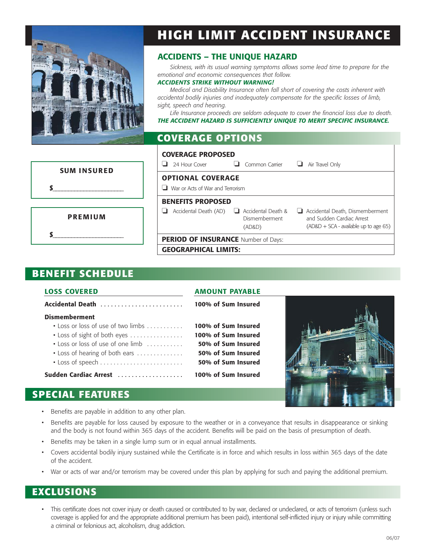

# **HIGH LIMIT ACCIDENT INSURANCE**

#### **ACCIDENTS – THE UNIQUE HAZARD**

*Sickness, with its usual warning symptoms allows some lead time to prepare for the emotional and economic consequences that follow.* 

#### *ACCIDENTS STRIKE WITHOUT WARNING!*

*Medical and Disability Insurance often fall short of covering the costs inherent with accidental bodily injuries and inadequately compensate for the specific losses of limb, sight, speech and hearing.*

*Life Insurance proceeds are seldom adequate to cover the financial loss due to death. THE ACCIDENT HAZARD IS SUFFICIENTLY UNIQUE TO MERIT SPECIFIC INSURANCE.*

| <b>COVERAGE OPTIONS</b> |  |
|-------------------------|--|
|                         |  |

|                    | <b>COVERAGE PROPOSED</b>                                                            |                                                                                                         |  |  |  |
|--------------------|-------------------------------------------------------------------------------------|---------------------------------------------------------------------------------------------------------|--|--|--|
| <b>SUM INSURED</b> | Common Carrier<br>24 Hour Cover<br>└                                                | Air Travel Only<br>ч                                                                                    |  |  |  |
|                    | <b>OPTIONAL COVERAGE</b>                                                            |                                                                                                         |  |  |  |
|                    | War or Acts of War and Terrorism<br>ப                                               |                                                                                                         |  |  |  |
|                    | <b>BENEFITS PROPOSED</b>                                                            |                                                                                                         |  |  |  |
| <b>PREMIUM</b>     | $\Box$ Accidental Death &<br>Accidental Death (AD)<br>-1<br>Dismemberment<br>(AD&D) | Accidental Death, Dismemberment<br>and Sudden Cardiac Arrest<br>$(AD&D + SCA - available up to age 65)$ |  |  |  |
|                    | PERIOD OF INSURANCE Number of Days:                                                 |                                                                                                         |  |  |  |
|                    | <b>GEOGRAPHICAL LIMITS:</b>                                                         |                                                                                                         |  |  |  |

#### **BENEFIT SCHEDULE**

#### **LOSS COVERED AMOUNT PAYABLE**

| Accidental Death                      | 100% of Sum Insured |
|---------------------------------------|---------------------|
| <b>Dismemberment</b>                  |                     |
| • Loss or loss of use of two limbs    | 100% of Sum Insured |
| • Loss of sight of both eyes $\ldots$ | 100% of Sum Insured |
| • Loss or loss of use of one limb     | 50% of Sum Insured  |
| • Loss of hearing of both ears        | 50% of Sum Insured  |
|                                       | 50% of Sum Insured  |
| Sudden Cardiac Arrest                 | 100% of Sum Insured |



#### **SPECIAL FEATURES**

- Benefits are payable in addition to any other plan.
- Benefits are payable for loss caused by exposure to the weather or in a conveyance that results in disappearance or sinking and the body is not found within 365 days of the accident. Benefits will be paid on the basis of presumption of death.
- Benefits may be taken in a single lump sum or in equal annual installments.
- Covers accidental bodily injury sustained while the Certificate is in force and which results in loss within 365 days of the date of the accident.
- War or acts of war and/or terrorism may be covered under this plan by applying for such and paying the additional premium.

## **EXCLUSIONS**

• This certificate does not cover injury or death caused or contributed to by war, declared or undeclared, or acts of terrorism (unless such coverage is applied for and the appropriate additional premium has been paid), intentional self-inflicted injury or injury while committing a criminal or felonious act, alcoholism, drug addiction.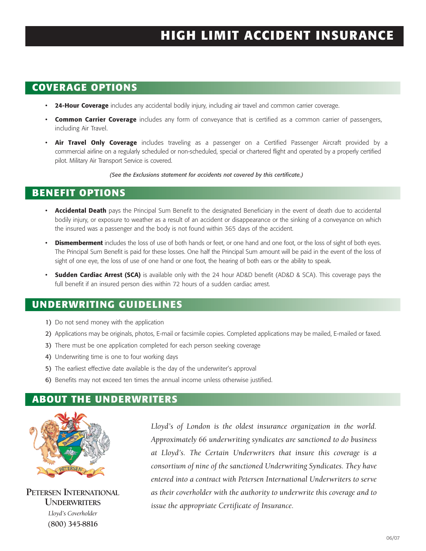# **HIGH LIMIT ACCIDENT INSURANCE**

## **COVERAGE OPTIONS**

- **24-Hour Coverage** includes any accidental bodily injury, including air travel and common carrier coverage.
- **Common Carrier Coverage** includes any form of conveyance that is certified as a common carrier of passengers, including Air Travel.
- **Air Travel Only Coverage** includes traveling as a passenger on a Certified Passenger Aircraft provided by a commercial airline on a regularly scheduled or non-scheduled, special or chartered flight and operated by a properly certified pilot. Military Air Transport Service is covered.

*(See the Exclusions statement for accidents not covered by this certificate.)*

## **BENEFIT OPTIONS**

- **Accidental Death** pays the Principal Sum Benefit to the designated Beneficiary in the event of death due to accidental bodily injury, or exposure to weather as a result of an accident or disappearance or the sinking of a conveyance on which the insured was a passenger and the body is not found within 365 days of the accident.
- **Dismemberment** includes the loss of use of both hands or feet, or one hand and one foot, or the loss of sight of both eyes. The Principal Sum Benefit is paid for these losses. One half the Principal Sum amount will be paid in the event of the loss of sight of one eye, the loss of use of one hand or one foot, the hearing of both ears or the ability to speak.
- **Sudden Cardiac Arrest (SCA)** is available only with the 24 hour AD&D benefit (AD&D & SCA). This coverage pays the full benefit if an insured person dies within 72 hours of a sudden cardiac arrest.

#### **UNDERWRITING GUIDELINES**

- 1) Do not send money with the application
- 2) Applications may be originals, photos, E-mail or facsimile copies. Completed applications may be mailed, E-mailed or faxed.
- 3) There must be one application completed for each person seeking coverage
- 4) Underwriting time is one to four working days
- 5) The earliest effective date available is the day of the underwriter's approval
- 6) Benefits may not exceed ten times the annual income unless otherwise justified.

#### **ABOUT THE UNDERWRITERS**



**PETERSEN INTERNATIONAL UNDERWRITERS** *Lloyd's Coverholder* **(800) 345-8816**

*Lloyd's of London is the oldest insurance organization in the world. Approximately 66 underwriting syndicates are sanctioned to do business at Lloyd's. The Certain Underwriters that insure this coverage is a consortium of nine of the sanctioned Underwriting Syndicates. They have entered into a contract with Petersen International Underwriters to serve as their coverholder with the authority to underwrite this coverage and to issue the appropriate Certificate of Insurance.*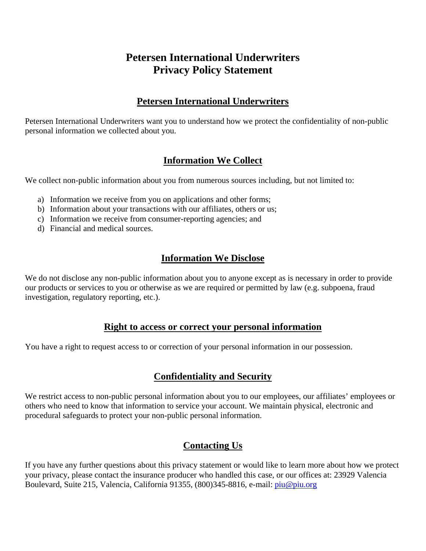## **Petersen International Underwriters Privacy Policy Statement**

#### **Petersen International Underwriters**

Petersen International Underwriters want you to understand how we protect the confidentiality of non-public personal information we collected about you.

### **Information We Collect**

We collect non-public information about you from numerous sources including, but not limited to:

- a) Information we receive from you on applications and other forms;
- b) Information about your transactions with our affiliates, others or us;
- c) Information we receive from consumer-reporting agencies; and
- d) Financial and medical sources.

#### **Information We Disclose**

We do not disclose any non-public information about you to anyone except as is necessary in order to provide our products or services to you or otherwise as we are required or permitted by law (e.g. subpoena, fraud investigation, regulatory reporting, etc.).

#### **Right to access or correct your personal information**

You have a right to request access to or correction of your personal information in our possession.

#### **Confidentiality and Security**

We restrict access to non-public personal information about you to our employees, our affiliates' employees or others who need to know that information to service your account. We maintain physical, electronic and procedural safeguards to protect your non-public personal information.

### **Contacting Us**

If you have any further questions about this privacy statement or would like to learn more about how we protect your privacy, please contact the insurance producer who handled this case, or our offices at: 23929 Valencia Boulevard, Suite 215, Valencia, California 91355, (800)345-8816, e-mail: [piu@piu.org](mailto:piu@piu.org)